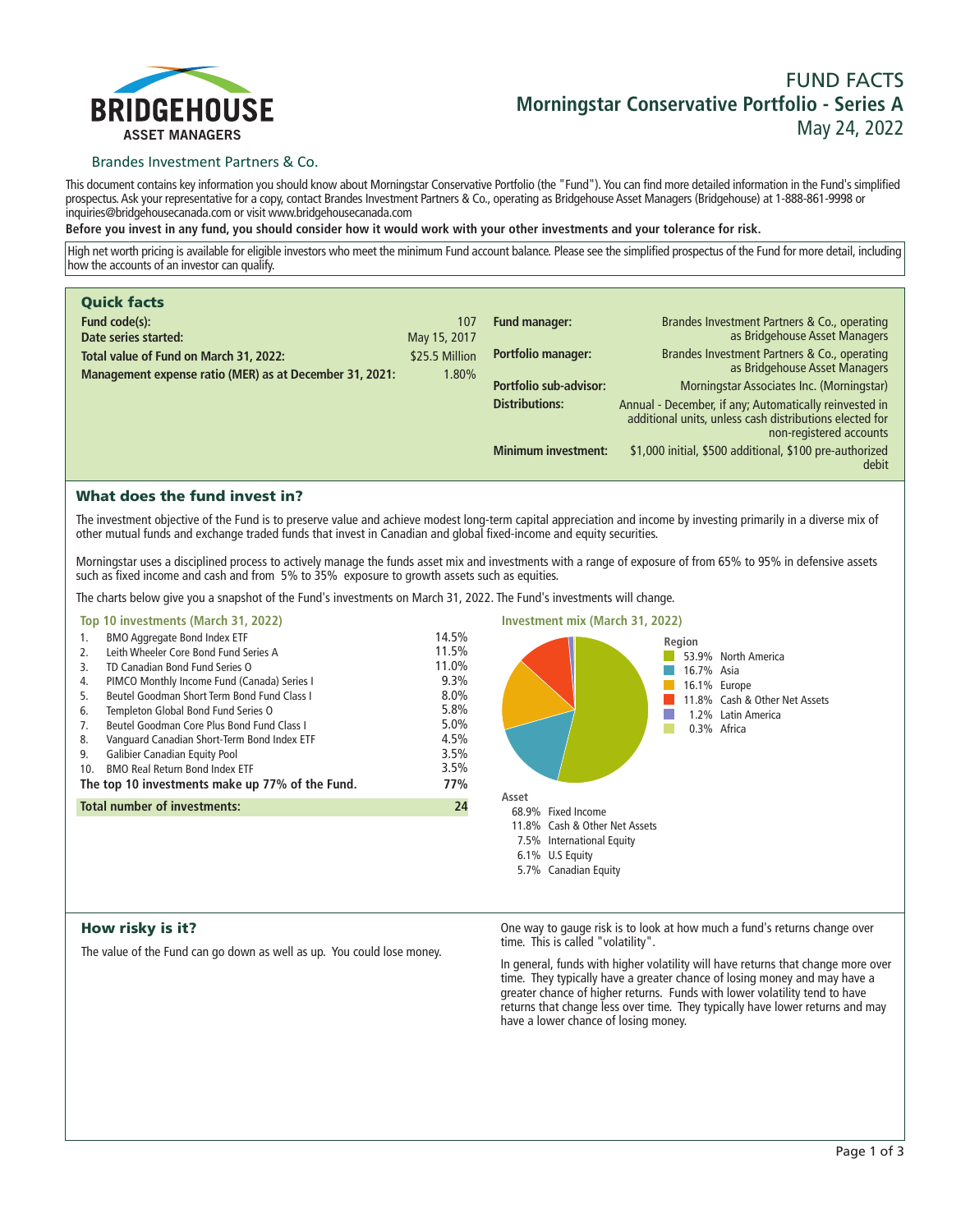

# **FUND FACTS Morningstar Conservative Portfolio - Series A May 24, 2022**

### Brandes Investment Partners & Co.

**This document contains key information you should know about Morningstar Conservative Portfolio (the "Fund"). You can find more detailed information in the Fund's simplified prospectus. Ask your representative for a copy, contact Brandes Investment Partners & Co., operating as Bridgehouse Asset Managers (Bridgehouse) at 1-888-861-9998 or inquiries@bridgehousecanada.com or visit www.bridgehousecanada.com**

**Before you invest in any fund, you should consider how it would work with your other investments and your tolerance for risk.**

**High net worth pricing is available for eligible investors who meet the minimum Fund account balance. Please see the simplified prospectus of the Fund for more detail, including how the accounts of an investor can qualify.**

| <b>Quick facts</b>                                      |                |                            |                                                                                                                                              |
|---------------------------------------------------------|----------------|----------------------------|----------------------------------------------------------------------------------------------------------------------------------------------|
| Fund code(s):                                           | 107            | <b>Fund manager:</b>       | Brandes Investment Partners & Co., operating                                                                                                 |
| Date series started:                                    | May 15, 2017   |                            | as Bridgehouse Asset Managers                                                                                                                |
| Total value of Fund on March 31, 2022:                  | \$25.5 Million | Portfolio manager:         | Brandes Investment Partners & Co., operating<br>as Bridgehouse Asset Managers                                                                |
| Management expense ratio (MER) as at December 31, 2021: | 1.80%          | Portfolio sub-advisor:     | Morningstar Associates Inc. (Morningstar)                                                                                                    |
|                                                         |                |                            |                                                                                                                                              |
|                                                         |                | <b>Distributions:</b>      | Annual - December, if any; Automatically reinvested in<br>additional units, unless cash distributions elected for<br>non-registered accounts |
|                                                         |                | <b>Minimum investment:</b> | \$1,000 initial, \$500 additional, \$100 pre-authorized<br>debit                                                                             |

### What does the fund invest in?

**The investment objective of the Fund is to preserve value and achieve modest long-term capital appreciation and income by investing primarily in a diverse mix of other mutual funds and exchange traded funds that invest in Canadian and global fixed-income and equity securities.** 

**Morningstar uses a disciplined process to actively manage the funds asset mix and investments with a range of exposure of from 65% to 95% in defensive assets such as fixed income and cash and from 5% to 35% exposure to growth assets such as equities.**

**The charts below give you a snapshot of the Fund's investments on March 31, 2022. The Fund's investments will change.**

### **Top 10 investments (March 31, 2022)**

| 1.                                                     | <b>BMO Aggregate Bond Index ETF</b>         | 14.5% |
|--------------------------------------------------------|---------------------------------------------|-------|
| 2.                                                     | Leith Wheeler Core Bond Fund Series A       | 11.5% |
| 3.                                                     | TD Canadian Bond Fund Series O              | 11.0% |
| 4.                                                     | PIMCO Monthly Income Fund (Canada) Series I | 9.3%  |
| 5.                                                     | Beutel Goodman Short Term Bond Fund Class I | 8.0%  |
| 6.                                                     | Templeton Global Bond Fund Series O         | 5.8%  |
| 7.                                                     | Beutel Goodman Core Plus Bond Fund Class I  | 5.0%  |
| 8.                                                     | Vanguard Canadian Short-Term Bond Index ETF | 4.5%  |
| 9.                                                     | <b>Galibier Canadian Equity Pool</b>        | 3.5%  |
| 10 <sub>1</sub>                                        | <b>BMO Real Return Bond Index ETF</b>       | 3.5%  |
| 77%<br>The top 10 investments make up 77% of the Fund. |                                             |       |
| Total number of investments:<br>24                     |                                             |       |
|                                                        |                                             |       |



### How risky is it?

**The value of the Fund can go down as well as up. You could lose money.**

**One way to gauge risk is to look at how much a fund's returns change over time. This is called "volatility".**

**In general, funds with higher volatility will have returns that change more over time. They typically have a greater chance of losing money and may have a greater chance of higher returns. Funds with lower volatility tend to have returns that change less over time. They typically have lower returns and may have a lower chance of losing money.**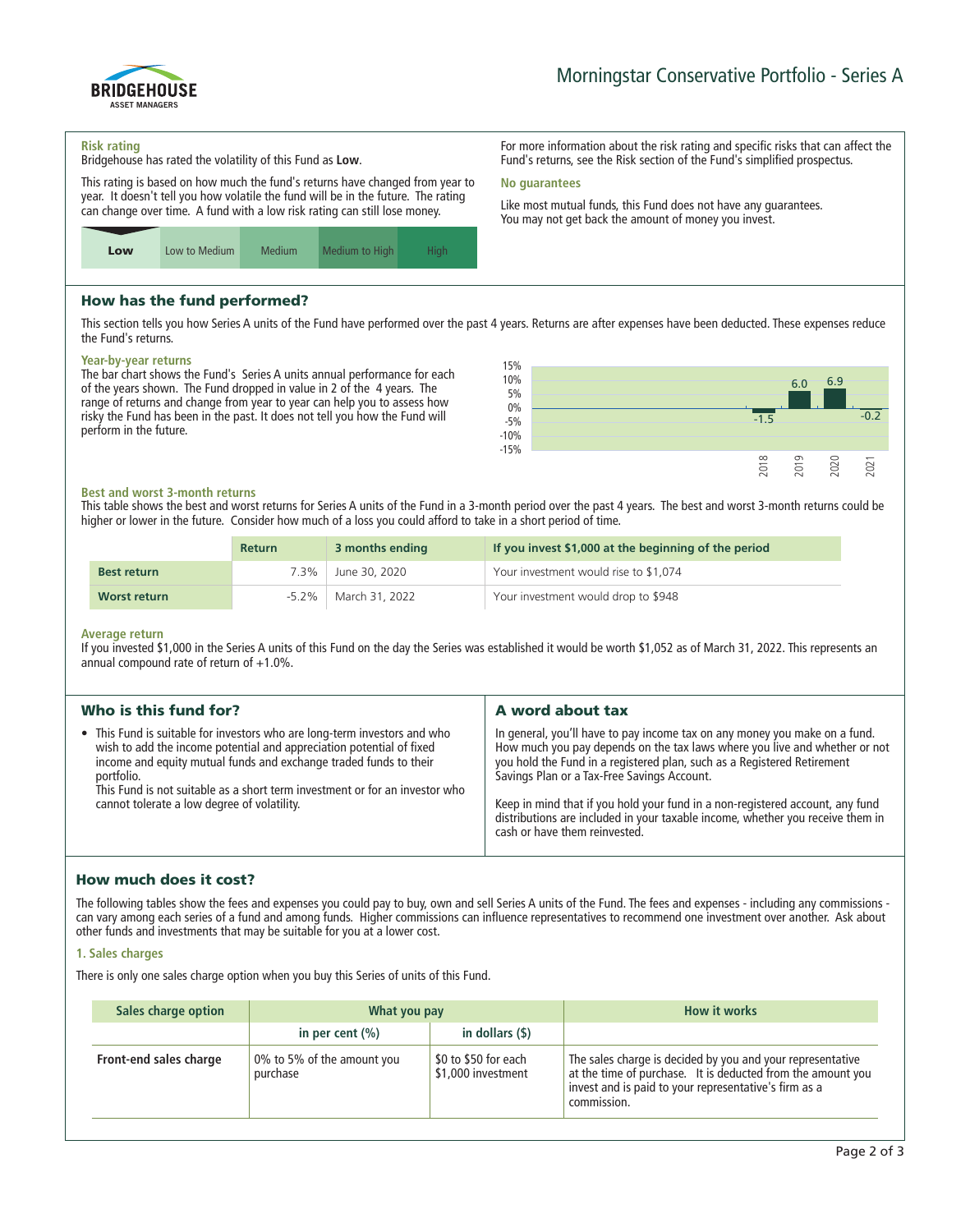

**For more information about the risk rating and specific risks that can affect the Fund's returns, see the Risk section of the Fund's simplified prospectus.**

**Like most mutual funds, this Fund does not have any guarantees. You may not get back the amount of money you invest.**

#### **Risk rating**

**Bridgehouse has rated the volatility of this Fund as Low.**

**This rating is based on how much the fund's returns have changed from year to year. It doesn't tell you how volatile the fund will be in the future. The rating can change over time. A fund with a low risk rating can still lose money.**



## How has the fund performed?

**This section tells you how Series A units of the Fund have performed over the past 4 years. Returns are after expenses have been deducted. These expenses reduce the Fund's returns.**

**No guarantees**

#### **Year-by-year returns**

**The bar chart shows the Fund's Series A units annual performance for each of the years shown. The Fund dropped in value in 2 of the 4 years. The range of returns and change from year to year can help you to assess how risky the Fund has been in the past. It does not tell you how the Fund will perform in the future.**



#### **Best and worst 3-month returns**

**This table shows the best and worst returns for Series A units of the Fund in a 3-month period over the past 4 years. The best and worst 3-month returns could be higher or lower in the future. Consider how much of a loss you could afford to take in a short period of time.**

|                    | <b>Return</b> | 3 months ending | If you invest \$1,000 at the beginning of the period |
|--------------------|---------------|-----------------|------------------------------------------------------|
| <b>Best return</b> | 7.3%          | June 30, 2020   | Your investment would rise to \$1,074                |
| Worst return       | $-5.2\%$      | March 31, 2022  | Your investment would drop to \$948                  |

#### **Average return**

**If you invested \$1,000 in the Series A units of this Fund on the day the Series was established it would be worth \$1,052 as of March 31, 2022. This represents an annual compound rate of return of +1.0%.**

| Who is this fund for?                                                                                                                                                                                                                                                                                                                                              | A word about tax                                                                                                                                                                                                                                                                                                                                                                                                                                                                       |  |
|--------------------------------------------------------------------------------------------------------------------------------------------------------------------------------------------------------------------------------------------------------------------------------------------------------------------------------------------------------------------|----------------------------------------------------------------------------------------------------------------------------------------------------------------------------------------------------------------------------------------------------------------------------------------------------------------------------------------------------------------------------------------------------------------------------------------------------------------------------------------|--|
| • This Fund is suitable for investors who are long-term investors and who<br>wish to add the income potential and appreciation potential of fixed<br>income and equity mutual funds and exchange traded funds to their<br>portfolio.<br>This Fund is not suitable as a short term investment or for an investor who<br>cannot tolerate a low degree of volatility. | In general, you'll have to pay income tax on any money you make on a fund.<br>How much you pay depends on the tax laws where you live and whether or not<br>you hold the Fund in a registered plan, such as a Registered Retirement<br>Savings Plan or a Tax-Free Savings Account.<br>Keep in mind that if you hold your fund in a non-registered account, any fund<br>distributions are included in your taxable income, whether you receive them in<br>cash or have them reinvested. |  |
|                                                                                                                                                                                                                                                                                                                                                                    |                                                                                                                                                                                                                                                                                                                                                                                                                                                                                        |  |

### How much does it cost?

**The following tables show the fees and expenses you could pay to buy, own and sell Series A units of the Fund. The fees and expenses - including any commissions can vary among each series of a fund and among funds. Higher commissions can influence representatives to recommend one investment over another. Ask about other funds and investments that may be suitable for you at a lower cost.**

#### **1. Sales charges**

**There is only one sales charge option when you buy this Series of units of this Fund.**

| Sales charge option    | What you pay                           |                                            | <b>How it works</b>                                                                                                                                                                               |
|------------------------|----------------------------------------|--------------------------------------------|---------------------------------------------------------------------------------------------------------------------------------------------------------------------------------------------------|
|                        | in per cent $(\% )$                    | in dollars $($ \$ $)$                      |                                                                                                                                                                                                   |
| Front-end sales charge | 0% to 5% of the amount you<br>purchase | \$0 to \$50 for each<br>\$1,000 investment | The sales charge is decided by you and your representative<br>at the time of purchase. It is deducted from the amount you<br>invest and is paid to your representative's firm as a<br>commission. |